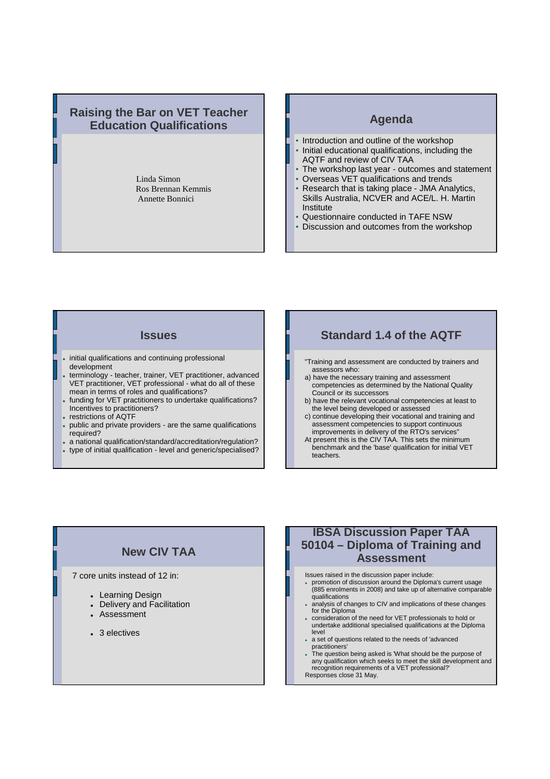### **Raising the Bar on VET Teacher Education Qualifications**

Linda Simon Ros Brennan Kemmis Annette Bonnici

### **Agenda**

- Introduction and outline of the workshop • Initial educational qualifications, including the
- AQTF and review of CIV TAA
- The workshop last year outcomes and statement • Overseas VET qualifications and trends
- Research that is taking place JMA Analytics, Skills Australia, NCVER and ACE/L. H. Martin **Institute**
- Questionnaire conducted in TAFE NSW
- Discussion and outcomes from the workshop

#### **Issues**

- $.$  initial qualifications and continuing professional development
- terminology teacher, trainer, VET practitioner, advanced VET practitioner, VET professional - what do all of these mean in terms of roles and qualifications?
- funding for VET practitioners to undertake qualifications? Incentives to practitioners?
- restrictions of AQTF
- public and private providers are the same qualifications required?
- a national qualification/standard/accreditation/regulation?
- type of initial qualification level and generic/specialised?

## **Standard 1.4 of the AQTF**

- "Training and assessment are conducted by trainers and assessors who:
- a) have the necessary training and assessment competencies as determined by the National Quality Council or its successors
- b) have the relevant vocational competencies at least to the level being developed or assessed
- c) continue developing their vocational and training and assessment competencies to support continuous improvements in delivery of the RTO's services"
- At present this is the CIV TAA. This sets the minimum benchmark and the 'base' qualification for initial VET teachers.

# **New CIV TAA**

7 core units instead of 12 in:

- Learning Design
- Delivery and Facilitation
- Assessment
- 3 electives

# **IBSA Discussion Paper TAA 50104 – Diploma of Training and Assessment**

- Issues raised in the discussion paper include:
- promotion of discussion around the Diploma's current usage (885 enrolments in 2008) and take up of alternative comparable qualifications
- analysis of changes to CIV and implications of these changes for the Diploma
- consideration of the need for VET professionals to hold or undertake additional specialised qualifications at the Diploma level
- a set of questions related to the needs of 'advanced practitioners'
- The question being asked is 'What should be the purpose of any qualification which seeks to meet the skill development and recognition requirements of a VET professional?'
- Responses close 31 May.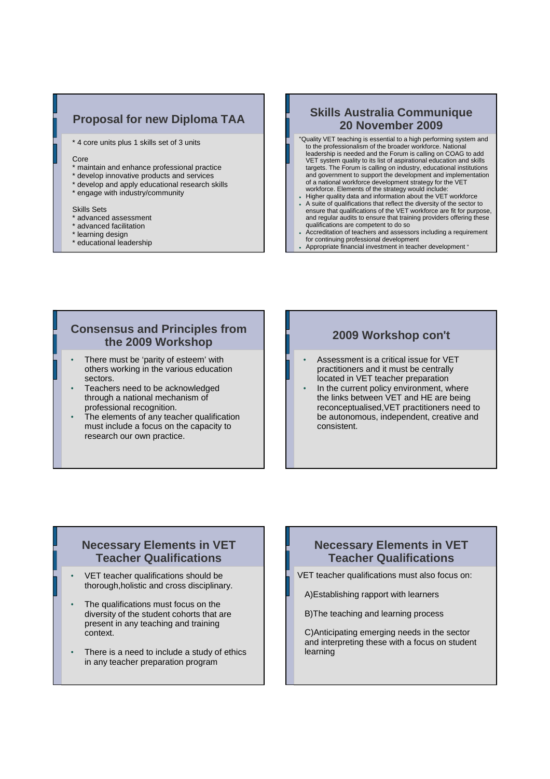# **Proposal for new Diploma TAA**

\* 4 core units plus 1 skills set of 3 units

#### Core

- \* maintain and enhance professional practice
- \* develop innovative products and services
- \* develop and apply educational research skills
- \* engage with industry/community

#### Skills Sets

- advanced assessment
- \* advanced facilitation
- \* learning design
- \* educational leadership

# **Skills Australia Communique 20 November 2009**

- "Quality VET teaching is essential to a high performing system and to the professionalism of the broader workforce. National leadership is needed and the Forum is calling on COAG to add VET system quality to its list of aspirational education and skills targets. The Forum is calling on industry, educational institutions and government to support the development and implementation of a national workforce development strategy for the VET
- workforce. Elements of the strategy would include: Higher quality data and information about the VET workforce
- A suite of qualifications that reflect the diversity of the sector to ensure that qualifications of the VET workforce are fit for purpose, and regular audits to ensure that training providers offering these qualifications are competent to do so
- Accreditation of teachers and assessors including a requirement for continuing professional development
- Appropriate financial investment in teacher development "

## **Consensus and Principles from the 2009 Workshop**

- There must be 'parity of esteem' with others working in the various education sectors.
- Teachers need to be acknowledged through a national mechanism of professional recognition.
- The elements of any teacher qualification must include a focus on the capacity to research our own practice.

#### **2009 Workshop con't**

- Assessment is a critical issue for VET practitioners and it must be centrally located in VET teacher preparation
- In the current policy environment, where the links between VET and HE are being reconceptualised,VET practitioners need to be autonomous, independent, creative and consistent.

### **Necessary Elements in VET Teacher Qualifications**

- VET teacher qualifications should be thorough,holistic and cross disciplinary.
- The qualifications must focus on the diversity of the student cohorts that are present in any teaching and training context.
- There is a need to include a study of ethics in any teacher preparation program

## **Necessary Elements in VET Teacher Qualifications**

VET teacher qualifications must also focus on:

A)Establishing rapport with learners

B)The teaching and learning process

C)Anticipating emerging needs in the sector and interpreting these with a focus on student learning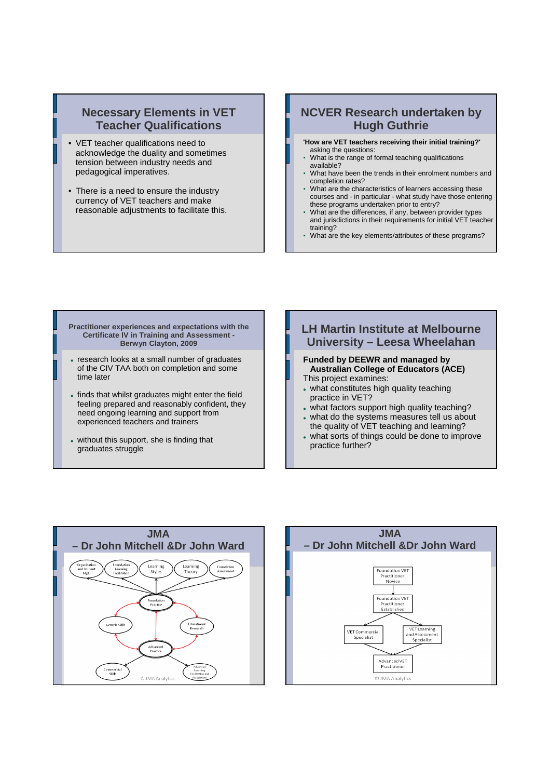## **Necessary Elements in VET Teacher Qualifications**

- VET teacher qualifications need to acknowledge the duality and sometimes tension between industry needs and pedagogical imperatives.
- There is a need to ensure the industry currency of VET teachers and make reasonable adjustments to facilitate this.

# **NCVER Research undertaken by Hugh Guthrie**

**'How are VET teachers receiving their initial training?'**  asking the questions:

- What is the range of formal teaching qualifications available?
- What have been the trends in their enrolment numbers and completion rates?
- What are the characteristics of learners accessing these courses and - in particular - what study have those entering these programs undertaken prior to entry?
- What are the differences, if any, between provider types and jurisdictions in their requirements for initial VET teacher training?
- What are the key elements/attributes of these programs?

#### **Practitioner experiences and expectations with the Certificate IV in Training and Assessment - Berwyn Clayton, 2009**

- research looks at a small number of graduates of the CIV TAA both on completion and some time later
- finds that whilst graduates might enter the field feeling prepared and reasonably confident, they need ongoing learning and support from experienced teachers and trainers
- without this support, she is finding that graduates struggle

## **LH Martin Institute at Melbourne University – Leesa Wheelahan Funded by DEEWR and managed by Australian College of Educators (ACE)**

- This project examines:
- what constitutes high quality teaching practice in VET?
- what factors support high quality teaching? what do the systems measures tell us about
- the quality of VET teaching and learning?
- what sorts of things could be done to improve practice further?